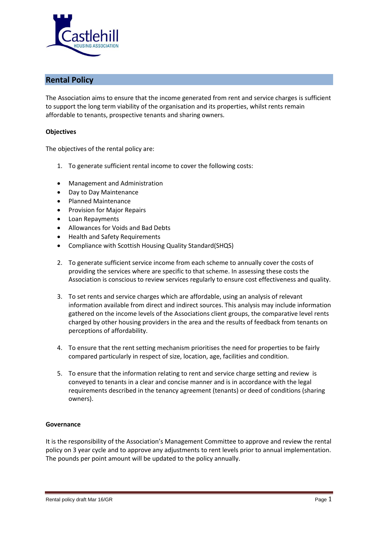

# **Rental Policy**

The Association aims to ensure that the income generated from rent and service charges is sufficient to support the long term viability of the organisation and its properties, whilst rents remain affordable to tenants, prospective tenants and sharing owners.

### **Objectives**

The objectives of the rental policy are:

- 1. To generate sufficient rental income to cover the following costs:
- Management and Administration
- Day to Day Maintenance
- Planned Maintenance
- Provision for Major Repairs
- Loan Repayments
- Allowances for Voids and Bad Debts
- Health and Safety Requirements
- Compliance with Scottish Housing Quality Standard(SHQS)
- 2. To generate sufficient service income from each scheme to annually cover the costs of providing the services where are specific to that scheme. In assessing these costs the Association is conscious to review services regularly to ensure cost effectiveness and quality.
- 3. To set rents and service charges which are affordable, using an analysis of relevant information available from direct and indirect sources. This analysis may include information gathered on the income levels of the Associations client groups, the comparative level rents charged by other housing providers in the area and the results of feedback from tenants on perceptions of affordability.
- 4. To ensure that the rent setting mechanism prioritises the need for properties to be fairly compared particularly in respect of size, location, age, facilities and condition.
- 5. To ensure that the information relating to rent and service charge setting and review is conveyed to tenants in a clear and concise manner and is in accordance with the legal requirements described in the tenancy agreement (tenants) or deed of conditions (sharing owners).

#### **Governance**

It is the responsibility of the Association's Management Committee to approve and review the rental policy on 3 year cycle and to approve any adjustments to rent levels prior to annual implementation. The pounds per point amount will be updated to the policy annually.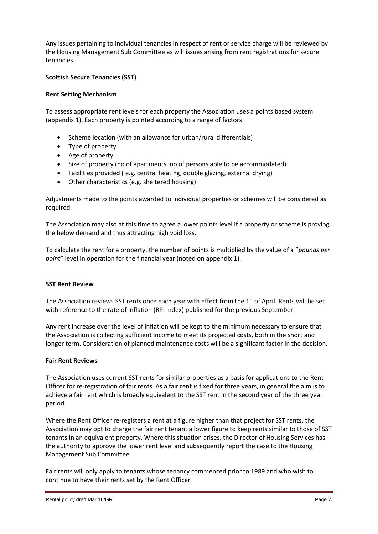Any issues pertaining to individual tenancies in respect of rent or service charge will be reviewed by the Housing Management Sub Committee as will issues arising from rent registrations for secure tenancies.

# **Scottish Secure Tenancies (SST)**

## **Rent Setting Mechanism**

To assess appropriate rent levels for each property the Association uses a points based system (appendix 1). Each property is pointed according to a range of factors:

- Scheme location (with an allowance for urban/rural differentials)
- Type of property
- Age of property
- Size of property (no of apartments, no of persons able to be accommodated)
- Facilities provided ( e.g. central heating, double glazing, external drying)
- Other characteristics (e.g. sheltered housing)

Adjustments made to the points awarded to individual properties or schemes will be considered as required.

The Association may also at this time to agree a lower points level if a property or scheme is proving the below demand and thus attracting high void loss.

To calculate the rent for a property, the number of points is multiplied by the value of a "*pounds per point*" level in operation for the financial year (noted on appendix 1).

#### **SST Rent Review**

The Association reviews SST rents once each year with effect from the  $1<sup>st</sup>$  of April. Rents will be set with reference to the rate of inflation (RPI index) published for the previous September.

Any rent increase over the level of inflation will be kept to the minimum necessary to ensure that the Association is collecting sufficient income to meet its projected costs, both in the short and longer term. Consideration of planned maintenance costs will be a significant factor in the decision.

#### **Fair Rent Reviews**

The Association uses current SST rents for similar properties as a basis for applications to the Rent Officer for re-registration of fair rents. As a fair rent is fixed for three years, in general the aim is to achieve a fair rent which is broadly equivalent to the SST rent in the second year of the three year period.

Where the Rent Officer re-registers a rent at a figure higher than that project for SST rents, the Association may opt to charge the fair rent tenant a lower figure to keep rents similar to those of SST tenants in an equivalent property. Where this situation arises, the Director of Housing Services has the authority to approve the lower rent level and subsequently report the case to the Housing Management Sub Committee.

Fair rents will only apply to tenants whose tenancy commenced prior to 1989 and who wish to continue to have their rents set by the Rent Officer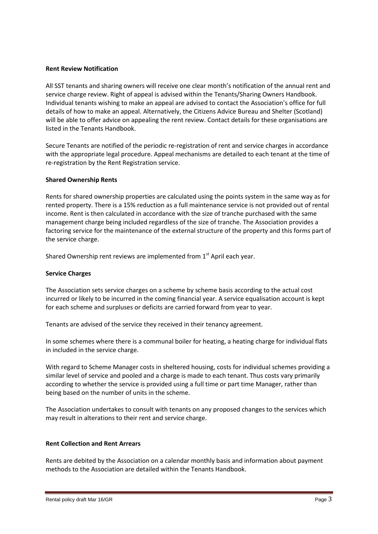#### **Rent Review Notification**

All SST tenants and sharing owners will receive one clear month's notification of the annual rent and service charge review. Right of appeal is advised within the Tenants/Sharing Owners Handbook. Individual tenants wishing to make an appeal are advised to contact the Association's office for full details of how to make an appeal. Alternatively, the Citizens Advice Bureau and Shelter (Scotland) will be able to offer advice on appealing the rent review. Contact details for these organisations are listed in the Tenants Handbook.

Secure Tenants are notified of the periodic re-registration of rent and service charges in accordance with the appropriate legal procedure. Appeal mechanisms are detailed to each tenant at the time of re-registration by the Rent Registration service.

#### **Shared Ownership Rents**

Rents for shared ownership properties are calculated using the points system in the same way as for rented property. There is a 15% reduction as a full maintenance service is not provided out of rental income. Rent is then calculated in accordance with the size of tranche purchased with the same management charge being included regardless of the size of tranche. The Association provides a factoring service for the maintenance of the external structure of the property and this forms part of the service charge.

Shared Ownership rent reviews are implemented from  $1<sup>st</sup>$  April each year.

#### **Service Charges**

The Association sets service charges on a scheme by scheme basis according to the actual cost incurred or likely to be incurred in the coming financial year. A service equalisation account is kept for each scheme and surpluses or deficits are carried forward from year to year.

Tenants are advised of the service they received in their tenancy agreement.

In some schemes where there is a communal boiler for heating, a heating charge for individual flats in included in the service charge.

With regard to Scheme Manager costs in sheltered housing, costs for individual schemes providing a similar level of service and pooled and a charge is made to each tenant. Thus costs vary primarily according to whether the service is provided using a full time or part time Manager, rather than being based on the number of units in the scheme.

The Association undertakes to consult with tenants on any proposed changes to the services which may result in alterations to their rent and service charge.

#### **Rent Collection and Rent Arrears**

Rents are debited by the Association on a calendar monthly basis and information about payment methods to the Association are detailed within the Tenants Handbook.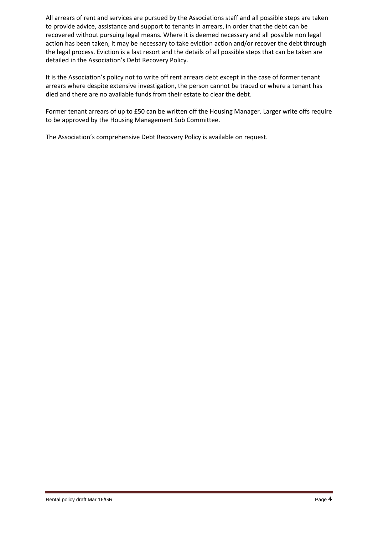All arrears of rent and services are pursued by the Associations staff and all possible steps are taken to provide advice, assistance and support to tenants in arrears, in order that the debt can be recovered without pursuing legal means. Where it is deemed necessary and all possible non legal action has been taken, it may be necessary to take eviction action and/or recover the debt through the legal process. Eviction is a last resort and the details of all possible steps that can be taken are detailed in the Association's Debt Recovery Policy.

It is the Association's policy not to write off rent arrears debt except in the case of former tenant arrears where despite extensive investigation, the person cannot be traced or where a tenant has died and there are no available funds from their estate to clear the debt.

Former tenant arrears of up to £50 can be written off the Housing Manager. Larger write offs require to be approved by the Housing Management Sub Committee.

The Association's comprehensive Debt Recovery Policy is available on request.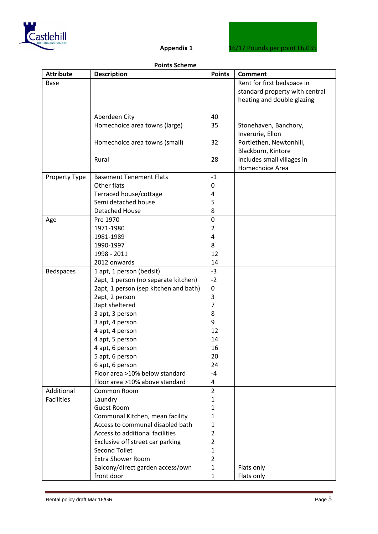

#### **Points Scheme**

| <b>Attribute</b>  | <b>Description</b>                                | <b>Points</b>     | <b>Comment</b>                 |
|-------------------|---------------------------------------------------|-------------------|--------------------------------|
| Base              |                                                   |                   | Rent for first bedspace in     |
|                   |                                                   |                   | standard property with central |
|                   |                                                   |                   | heating and double glazing     |
|                   |                                                   |                   |                                |
|                   | Aberdeen City                                     | 40                |                                |
|                   | Homechoice area towns (large)                     | 35                | Stonehaven, Banchory,          |
|                   |                                                   |                   | Inverurie, Ellon               |
|                   | Homechoice area towns (small)                     | 32                | Portlethen, Newtonhill,        |
|                   |                                                   |                   | Blackburn, Kintore             |
|                   | Rural                                             | 28                | Includes small villages in     |
|                   |                                                   |                   | Homechoice Area                |
| Property Type     | <b>Basement Tenement Flats</b>                    | $-1$              |                                |
|                   | Other flats                                       | 0                 |                                |
|                   | Terraced house/cottage                            | 4                 |                                |
|                   | Semi detached house                               | 5                 |                                |
|                   | <b>Detached House</b>                             | 8                 |                                |
| Age               | Pre 1970                                          | $\mathbf 0$       |                                |
|                   | 1971-1980                                         | $\overline{2}$    |                                |
|                   | 1981-1989                                         | 4                 |                                |
|                   | 1990-1997                                         | 8                 |                                |
|                   | 1998 - 2011                                       | 12                |                                |
|                   | 2012 onwards                                      | 14                |                                |
| <b>Bedspaces</b>  | 1 apt, 1 person (bedsit)                          | $-3$              |                                |
|                   | 2apt, 1 person (no separate kitchen)              | $-2$              |                                |
|                   | 2apt, 1 person (sep kitchen and bath)             | $\pmb{0}$         |                                |
|                   | 2apt, 2 person                                    | 3                 |                                |
|                   | 3apt sheltered                                    | $\overline{7}$    |                                |
|                   | 3 apt, 3 person                                   | 8                 |                                |
|                   | 3 apt, 4 person                                   | 9                 |                                |
|                   | 4 apt, 4 person                                   | 12                |                                |
|                   | 4 apt, 5 person                                   | 14                |                                |
|                   | 4 apt, 6 person                                   | 16                |                                |
|                   | 5 apt, 6 person                                   | 20                |                                |
|                   | 6 apt, 6 person<br>Floor area >10% below standard | 24<br>$-4$        |                                |
|                   | Floor area >10% above standard                    | 4                 |                                |
| Additional        | Common Room                                       | $\overline{2}$    |                                |
| <b>Facilities</b> |                                                   | 1                 |                                |
|                   | Laundry<br><b>Guest Room</b>                      | $\mathbf{1}$      |                                |
|                   | Communal Kitchen, mean facility                   | 1                 |                                |
|                   | Access to communal disabled bath                  | $\mathbf{1}$      |                                |
|                   | Access to additional facilities                   | 2                 |                                |
|                   | Exclusive off street car parking                  | 2                 |                                |
|                   | <b>Second Toilet</b>                              | 1                 |                                |
|                   | <b>Extra Shower Room</b>                          | $\overline{2}$    |                                |
|                   |                                                   |                   |                                |
|                   |                                                   |                   |                                |
|                   | Balcony/direct garden access/own<br>front door    | 1<br>$\mathbf{1}$ | Flats only<br>Flats only       |